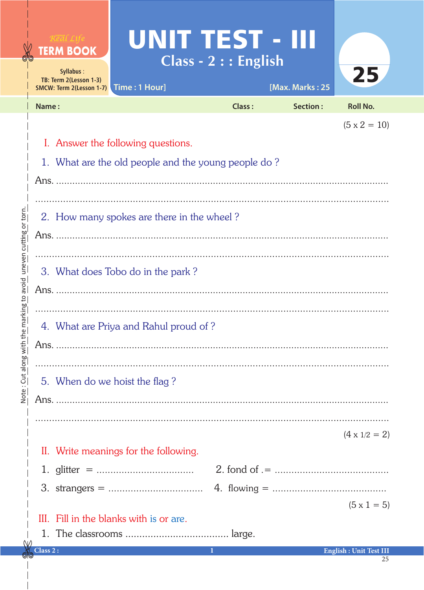|                         | <b>TERM BOOK</b><br>Syllabus:<br>TB: Term 2(Lesson 1-3)<br>SMCW: Term 2(Lesson 1-7) Time: 1 Hour]                | UNIT TEST - III<br>$Class - 2 :: English$ |               | [Max. Marks: 25 | 25                            |  |  |  |
|-------------------------|------------------------------------------------------------------------------------------------------------------|-------------------------------------------|---------------|-----------------|-------------------------------|--|--|--|
|                         | Name:                                                                                                            |                                           | <b>Class:</b> | <b>Section:</b> | <b>Roll No.</b>               |  |  |  |
|                         | $(5 \times 2 = 10)$<br>I. Answer the following questions.<br>1. What are the old people and the young people do? |                                           |               |                 |                               |  |  |  |
| uneven cutting or torn. | 2. How many spokes are there in the wheel?                                                                       |                                           |               |                 |                               |  |  |  |
| the marking to avoid    | 3. What does Tobo do in the park?                                                                                |                                           |               |                 |                               |  |  |  |
| Note: Cut along with    | 4. What are Priya and Rahul proud of?                                                                            |                                           |               |                 |                               |  |  |  |
|                         | 5. When do we hoist the flag?                                                                                    |                                           |               |                 |                               |  |  |  |
|                         |                                                                                                                  |                                           |               |                 | $(4 \times 1/2 = 2)$          |  |  |  |
|                         | II. Write meanings for the following.                                                                            |                                           |               |                 |                               |  |  |  |
|                         | III. Fill in the blanks with is or are.                                                                          |                                           |               |                 | $(5 \times 1 = 5)$            |  |  |  |
|                         | Class 2:                                                                                                         | 1                                         |               |                 | <b>English: Unit Test III</b> |  |  |  |